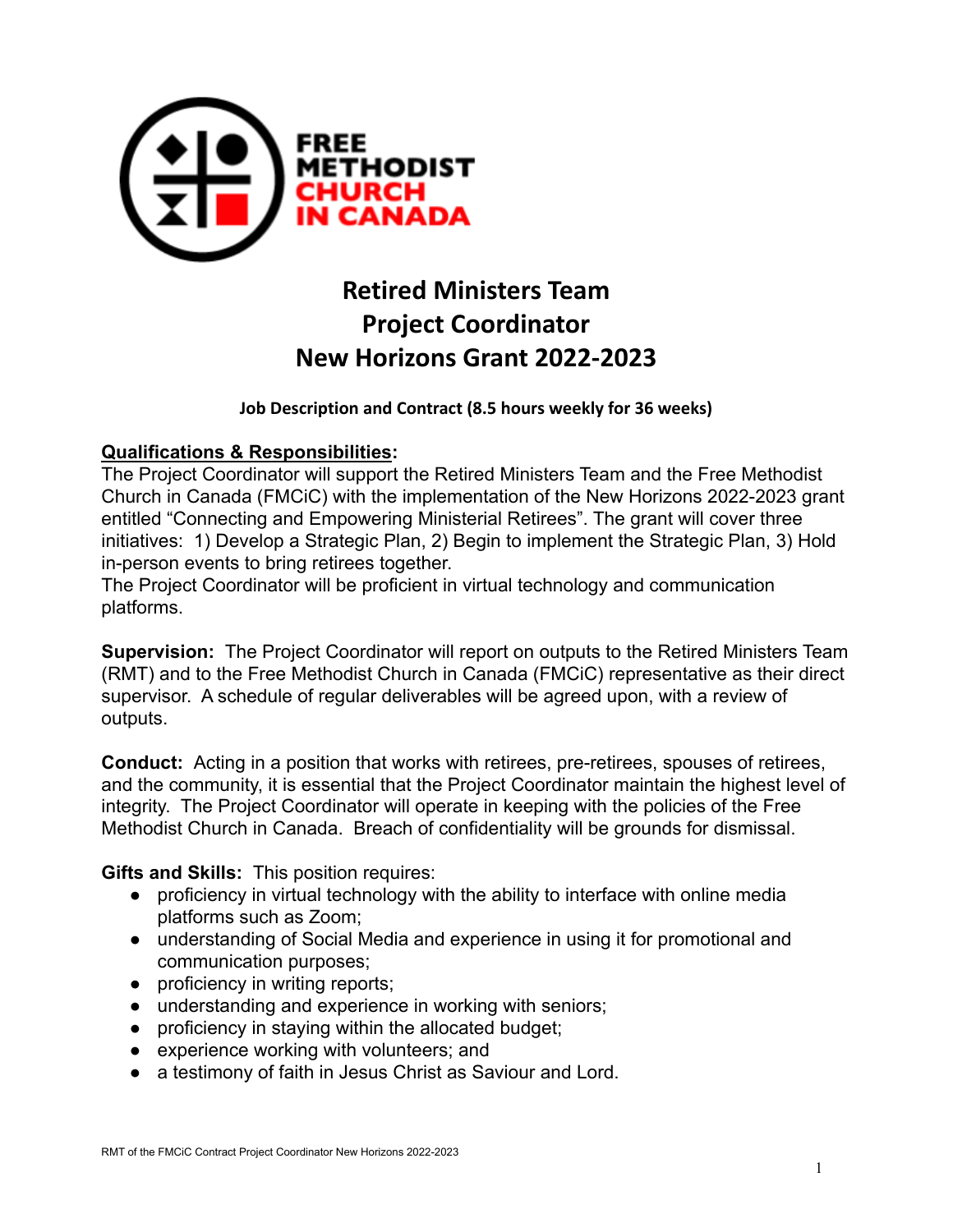

# **Retired Ministers Team Project Coordinator New Horizons Grant 2022-2023**

**Job Description and Contract (8.5 hours weekly for 36 weeks)**

#### **Qualifications & Responsibilities:**

The Project Coordinator will support the Retired Ministers Team and the Free Methodist Church in Canada (FMCiC) with the implementation of the New Horizons 2022-2023 grant entitled "Connecting and Empowering Ministerial Retirees". The grant will cover three initiatives: 1) Develop a Strategic Plan, 2) Begin to implement the Strategic Plan, 3) Hold in-person events to bring retirees together.

The Project Coordinator will be proficient in virtual technology and communication platforms.

**Supervision:** The Project Coordinator will report on outputs to the Retired Ministers Team (RMT) and to the Free Methodist Church in Canada (FMCiC) representative as their direct supervisor. A schedule of regular deliverables will be agreed upon, with a review of outputs.

**Conduct:** Acting in a position that works with retirees, pre-retirees, spouses of retirees, and the community, it is essential that the Project Coordinator maintain the highest level of integrity. The Project Coordinator will operate in keeping with the policies of the Free Methodist Church in Canada. Breach of confidentiality will be grounds for dismissal.

**Gifts and Skills:** This position requires:

- proficiency in virtual technology with the ability to interface with online media platforms such as Zoom;
- understanding of Social Media and experience in using it for promotional and communication purposes;
- proficiency in writing reports;
- understanding and experience in working with seniors;
- proficiency in staying within the allocated budget;
- experience working with volunteers; and
- a testimony of faith in Jesus Christ as Saviour and Lord.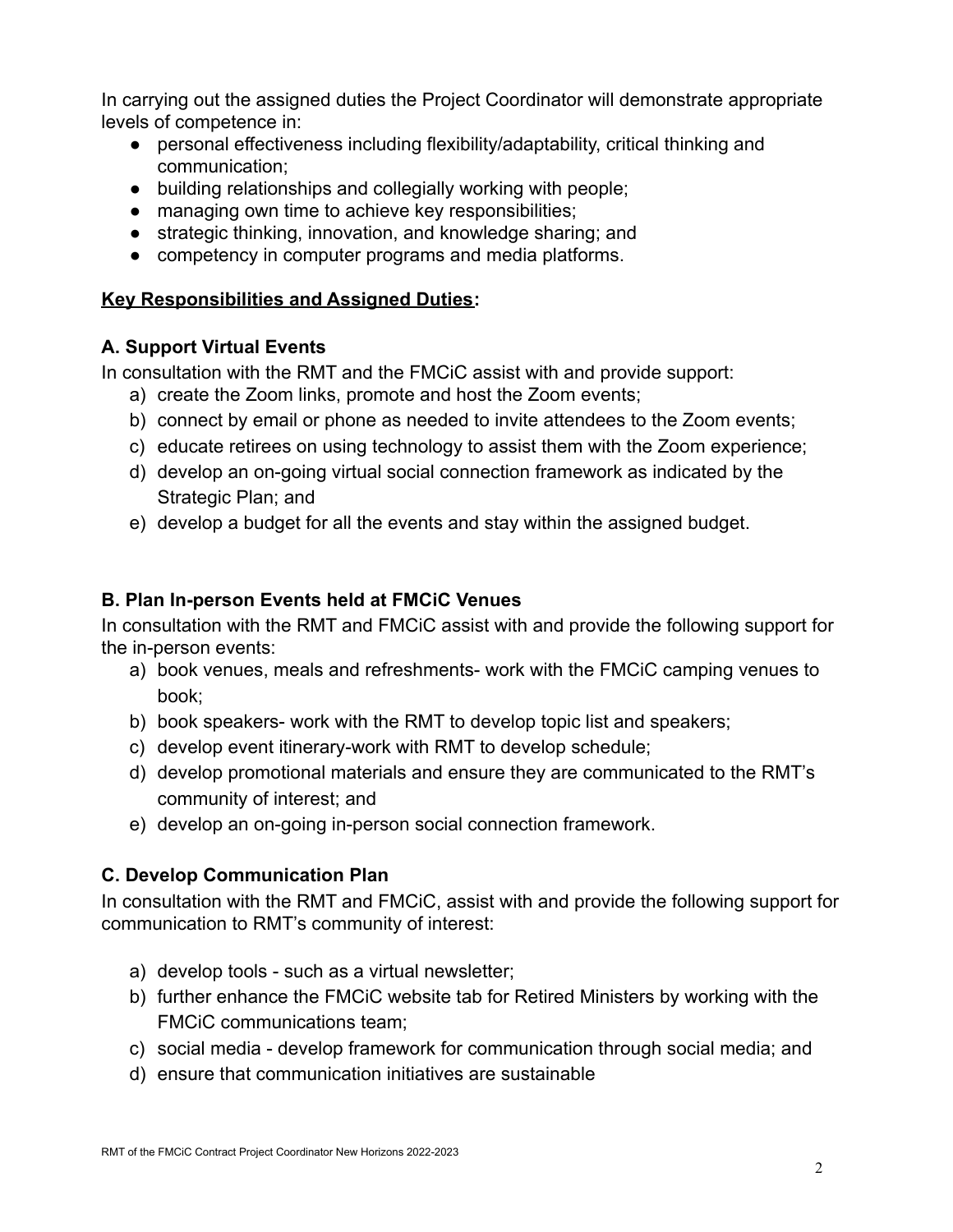In carrying out the assigned duties the Project Coordinator will demonstrate appropriate levels of competence in:

- personal effectiveness including flexibility/adaptability, critical thinking and communication;
- building relationships and collegially working with people;
- managing own time to achieve key responsibilities;
- strategic thinking, innovation, and knowledge sharing; and
- competency in computer programs and media platforms.

# **Key Responsibilities and Assigned Duties:**

## **A. Support Virtual Events**

In consultation with the RMT and the FMCiC assist with and provide support:

- a) create the Zoom links, promote and host the Zoom events;
- b) connect by email or phone as needed to invite attendees to the Zoom events;
- c) educate retirees on using technology to assist them with the Zoom experience;
- d) develop an on-going virtual social connection framework as indicated by the Strategic Plan; and
- e) develop a budget for all the events and stay within the assigned budget.

# **B. Plan In-person Events held at FMCiC Venues**

In consultation with the RMT and FMCiC assist with and provide the following support for the in-person events:

- a) book venues, meals and refreshments- work with the FMCiC camping venues to book;
- b) book speakers- work with the RMT to develop topic list and speakers;
- c) develop event itinerary-work with RMT to develop schedule;
- d) develop promotional materials and ensure they are communicated to the RMT's community of interest; and
- e) develop an on-going in-person social connection framework.

# **C. Develop Communication Plan**

In consultation with the RMT and FMCiC, assist with and provide the following support for communication to RMT's community of interest:

- a) develop tools such as a virtual newsletter;
- b) further enhance the FMCiC website tab for Retired Ministers by working with the FMCiC communications team;
- c) social media develop framework for communication through social media; and
- d) ensure that communication initiatives are sustainable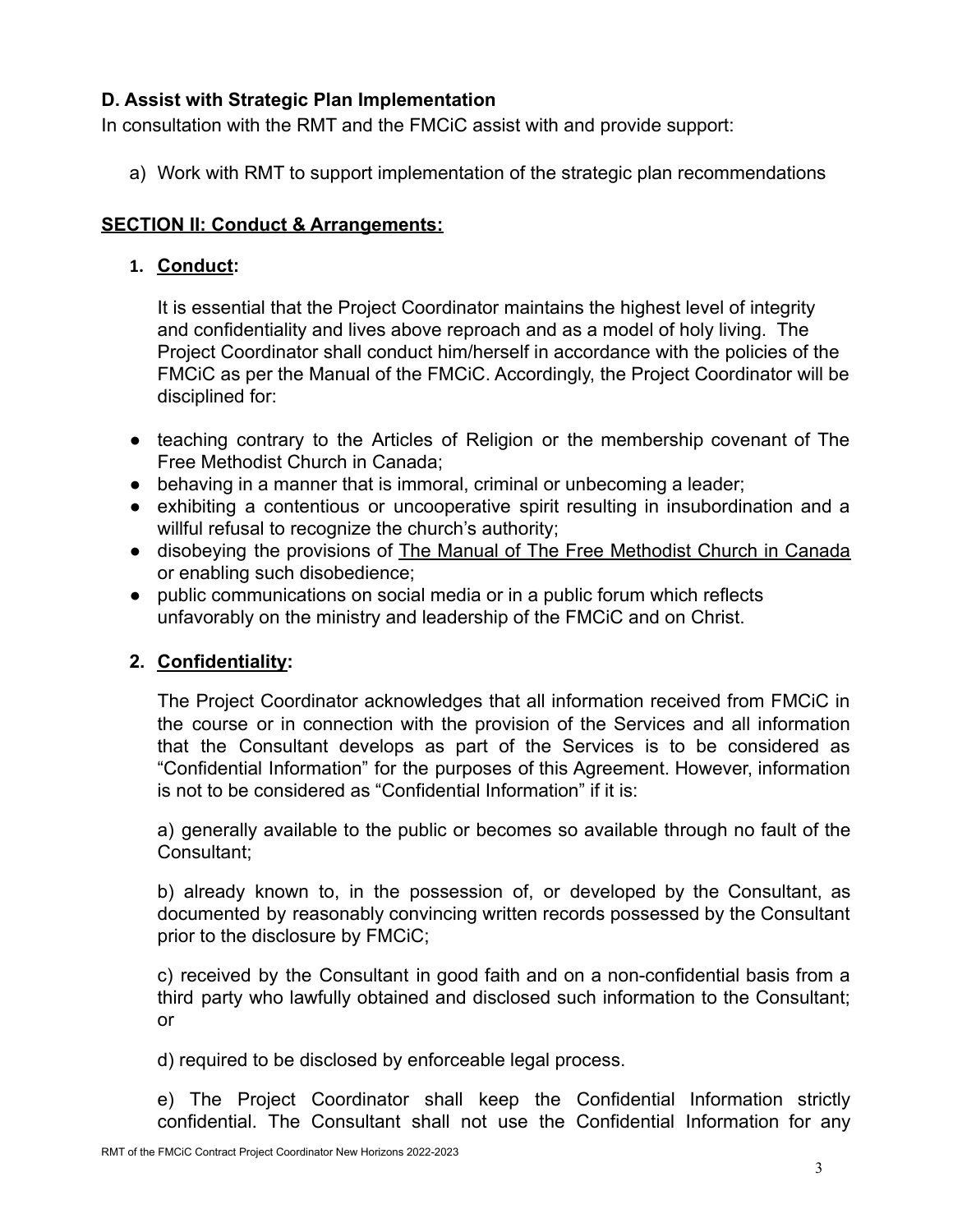### **D. Assist with Strategic Plan Implementation**

In consultation with the RMT and the FMCiC assist with and provide support:

a) Work with RMT to support implementation of the strategic plan recommendations

## **SECTION II: Conduct & Arrangements:**

### **1. Conduct:**

It is essential that the Project Coordinator maintains the highest level of integrity and confidentiality and lives above reproach and as a model of holy living. The Project Coordinator shall conduct him/herself in accordance with the policies of the FMCiC as per the Manual of the FMCiC. Accordingly, the Project Coordinator will be disciplined for:

- teaching contrary to the Articles of Religion or the membership covenant of The Free Methodist Church in Canada;
- behaving in a manner that is immoral, criminal or unbecoming a leader;
- exhibiting a contentious or uncooperative spirit resulting in insubordination and a willful refusal to recognize the church's authority;
- disobeying the provisions of The Manual of The Free Methodist Church in Canada or enabling such disobedience;
- public communications on social media or in a public forum which reflects unfavorably on the ministry and leadership of the FMCiC and on Christ.

# **2. Confidentiality:**

The Project Coordinator acknowledges that all information received from FMCiC in the course or in connection with the provision of the Services and all information that the Consultant develops as part of the Services is to be considered as "Confidential Information" for the purposes of this Agreement. However, information is not to be considered as "Confidential Information" if it is:

a) generally available to the public or becomes so available through no fault of the Consultant;

b) already known to, in the possession of, or developed by the Consultant, as documented by reasonably convincing written records possessed by the Consultant prior to the disclosure by FMCiC;

c) received by the Consultant in good faith and on a non-confidential basis from a third party who lawfully obtained and disclosed such information to the Consultant; or

d) required to be disclosed by enforceable legal process.

e) The Project Coordinator shall keep the Confidential Information strictly confidential. The Consultant shall not use the Confidential Information for any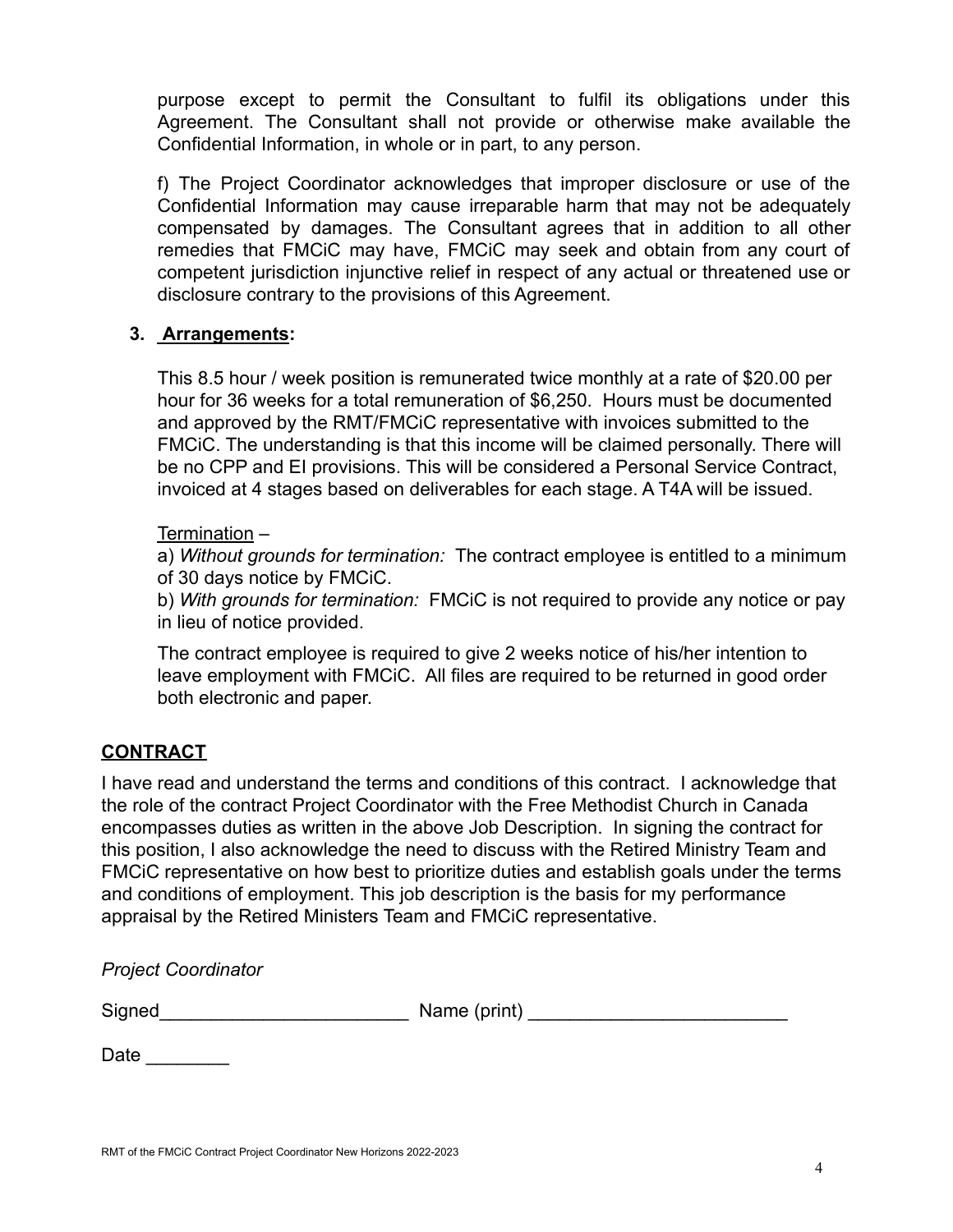purpose except to permit the Consultant to fulfil its obligations under this Agreement. The Consultant shall not provide or otherwise make available the Confidential Information, in whole or in part, to any person.

f) The Project Coordinator acknowledges that improper disclosure or use of the Confidential Information may cause irreparable harm that may not be adequately compensated by damages. The Consultant agrees that in addition to all other remedies that FMCiC may have, FMCiC may seek and obtain from any court of competent jurisdiction injunctive relief in respect of any actual or threatened use or disclosure contrary to the provisions of this Agreement.

#### **3. Arrangements:**

This 8.5 hour / week position is remunerated twice monthly at a rate of \$20.00 per hour for 36 weeks for a total remuneration of \$6,250. Hours must be documented and approved by the RMT/FMCiC representative with invoices submitted to the FMCiC. The understanding is that this income will be claimed personally. There will be no CPP and EI provisions. This will be considered a Personal Service Contract, invoiced at 4 stages based on deliverables for each stage. A T4A will be issued.

#### Termination –

a) *Without grounds for termination:* The contract employee is entitled to a minimum of 30 days notice by FMCiC.

b) *With grounds for termination:* FMCiC is not required to provide any notice or pay in lieu of notice provided.

The contract employee is required to give 2 weeks notice of his/her intention to leave employment with FMCiC. All files are required to be returned in good order both electronic and paper.

#### **CONTRACT**

I have read and understand the terms and conditions of this contract. I acknowledge that the role of the contract Project Coordinator with the Free Methodist Church in Canada encompasses duties as written in the above Job Description. In signing the contract for this position, I also acknowledge the need to discuss with the Retired Ministry Team and FMCiC representative on how best to prioritize duties and establish goals under the terms and conditions of employment. This job description is the basis for my performance appraisal by the Retired Ministers Team and FMCiC representative.

*Project Coordinator*

 $Name$  (print)  $\Box$ 

Date  $\qquad \qquad \Box$